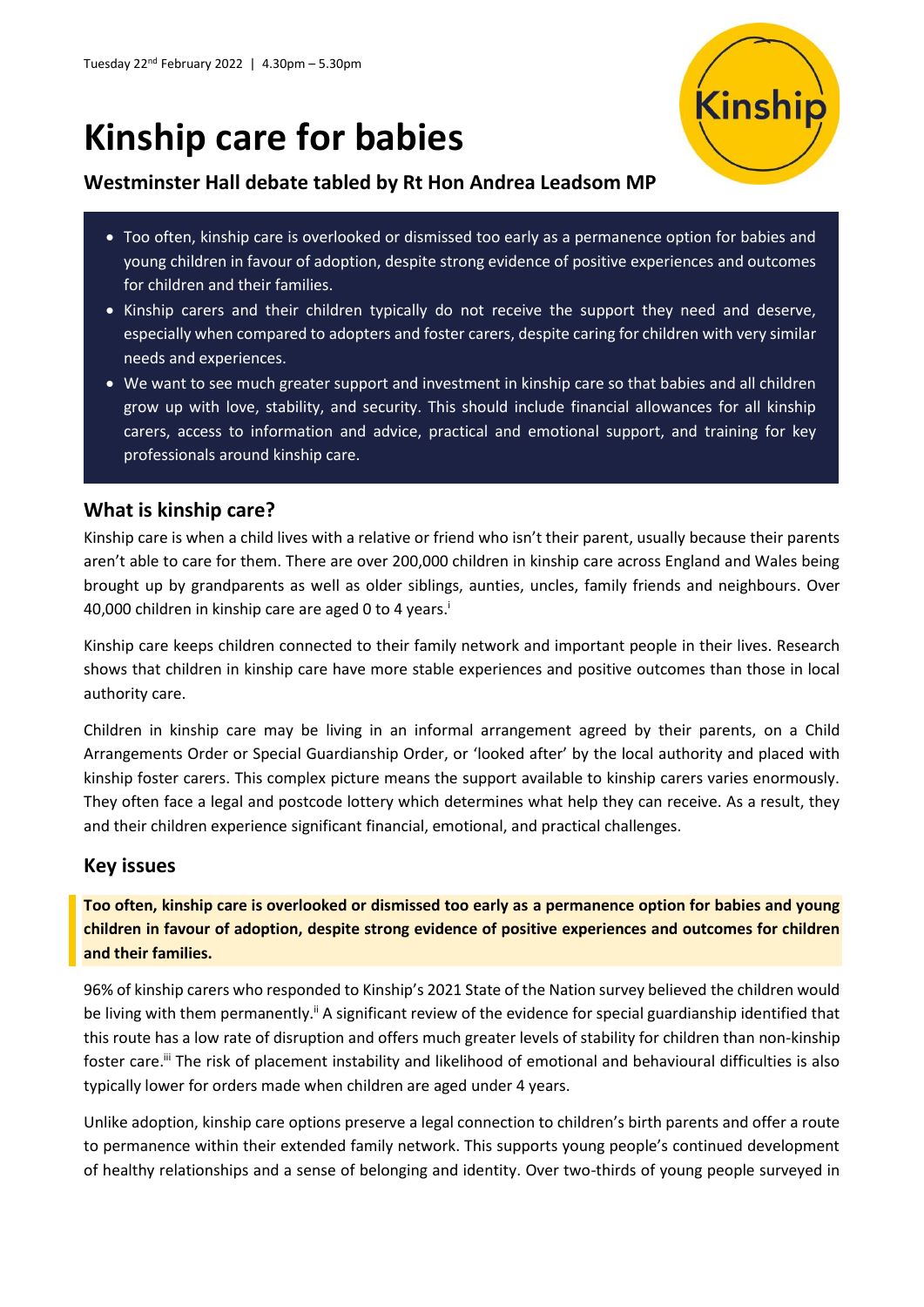# **Kinship care for babies**



## **Westminster Hall debate tabled by Rt Hon Andrea Leadsom MP**

- Too often, kinship care is overlooked or dismissed too early as a permanence option for babies and young children in favour of adoption, despite strong evidence of positive experiences and outcomes for children and their families.
- Kinship carers and their children typically do not receive the support they need and deserve, especially when compared to adopters and foster carers, despite caring for children with very similar needs and experiences.
- We want to see much greater support and investment in kinship care so that babies and all children grow up with love, stability, and security. This should include financial allowances for all kinship carers, access to information and advice, practical and emotional support, and training for key professionals around kinship care.

## **What is kinship care?**

Kinship care is when a child lives with a relative or friend who isn't their parent, usually because their parents aren't able to care for them. There are over 200,000 children in kinship care across England and Wales being brought up by grandparents as well as older siblings, aunties, uncles, family friends and neighbours. Over 40,000 children in kinship care are aged 0 to 4 years.<sup>i</sup>

Kinship care keeps children connected to their family network and important people in their lives. Research shows that children in kinship care have more stable experiences and positive outcomes than those in local authority care.

Children in kinship care may be living in an informal arrangement agreed by their parents, on a Child Arrangements Order or Special Guardianship Order, or 'looked after' by the local authority and placed with kinship foster carers. This complex picture means the support available to kinship carers varies enormously. They often face a legal and postcode lottery which determines what help they can receive. As a result, they and their children experience significant financial, emotional, and practical challenges.

## **Key issues**

**Too often, kinship care is overlooked or dismissed too early as a permanence option for babies and young children in favour of adoption, despite strong evidence of positive experiences and outcomes for children and their families.**

96% of kinship carers who responded to Kinship's 2021 State of the Nation survey believed the children would be living with them permanently.<sup>ii</sup> A significant review of the evidence for special guardianship identified that this route has a low rate of disruption and offers much greater levels of stability for children than non-kinship foster care.<sup>iii</sup> The risk of placement instability and likelihood of emotional and behavioural difficulties is also typically lower for orders made when children are aged under 4 years.

Unlike adoption, kinship care options preserve a legal connection to children's birth parents and offer a route to permanence within their extended family network. This supports young people's continued development of healthy relationships and a sense of belonging and identity. Over two-thirds of young people surveyed in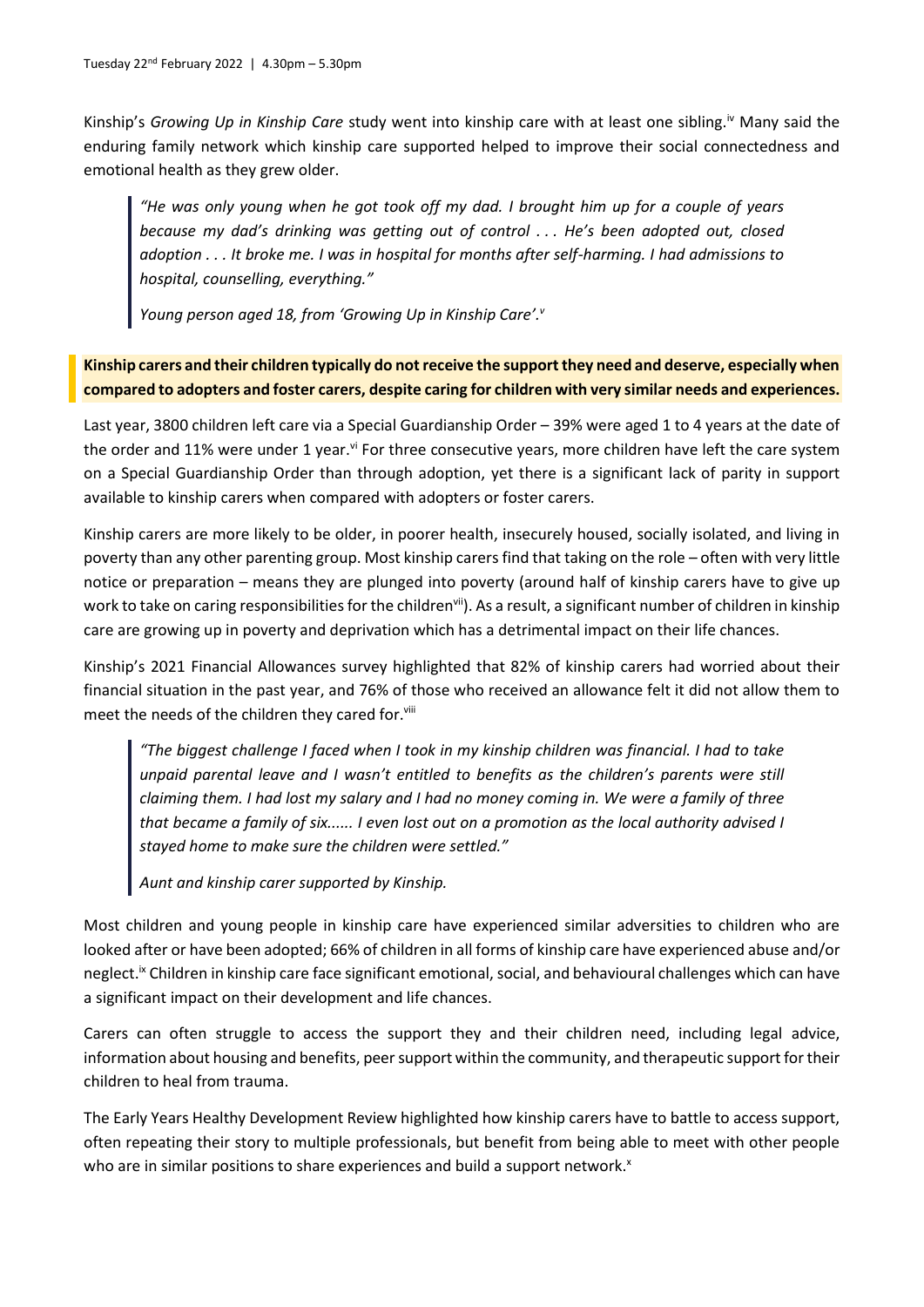Kinship's *Growing Up in Kinship Care* study went into kinship care with at least one sibling.iv Many said the enduring family network which kinship care supported helped to improve their social connectedness and emotional health as they grew older.

*"He was only young when he got took off my dad. I brought him up for a couple of years because my dad's drinking was getting out of control . . . He's been adopted out, closed adoption . . . It broke me. I was in hospital for months after self-harming. I had admissions to hospital, counselling, everything."*

*Young person aged 18, from 'Growing Up in Kinship Care'.<sup>v</sup>*

#### **Kinship carers and their children typically do not receive the support they need and deserve, especially when compared to adopters and foster carers, despite caring for children with very similar needs and experiences.**

Last year, 3800 children left care via a Special Guardianship Order – 39% were aged 1 to 4 years at the date of the order and 11% were under 1 year.<sup>vi</sup> For three consecutive years, more children have left the care system on a Special Guardianship Order than through adoption, yet there is a significant lack of parity in support available to kinship carers when compared with adopters or foster carers.

Kinship carers are more likely to be older, in poorer health, insecurely housed, socially isolated, and living in poverty than any other parenting group. Most kinship carers find that taking on the role – often with very little notice or preparation – means they are plunged into poverty (around half of kinship carers have to give up work to take on caring responsibilities for the children<sup>vii</sup>). As a result, a significant number of children in kinship care are growing up in poverty and deprivation which has a detrimental impact on their life chances.

Kinship's 2021 Financial Allowances survey highlighted that 82% of kinship carers had worried about their financial situation in the past year, and 76% of those who received an allowance felt it did not allow them to meet the needs of the children they cared for.<sup>viii</sup>

*"The biggest challenge I faced when I took in my kinship children was financial. I had to take unpaid parental leave and I wasn't entitled to benefits as the children's parents were still claiming them. I had lost my salary and I had no money coming in. We were a family of three that became a family of six...... I even lost out on a promotion as the local authority advised I stayed home to make sure the children were settled."*

*Aunt and kinship carer supported by Kinship.*

Most children and young people in kinship care have experienced similar adversities to children who are looked after or have been adopted; 66% of children in all forms of kinship care have experienced abuse and/or neglect.<sup>Ix</sup> Children in kinship care face significant emotional, social, and behavioural challenges which can have a significant impact on their development and life chances.

Carers can often struggle to access the support they and their children need, including legal advice, information about housing and benefits, peer support within the community, and therapeutic support for their children to heal from trauma.

The Early Years Healthy Development Review highlighted how kinship carers have to battle to access support, often repeating their story to multiple professionals, but benefit from being able to meet with other people who are in similar positions to share experiences and build a support network.<sup>x</sup>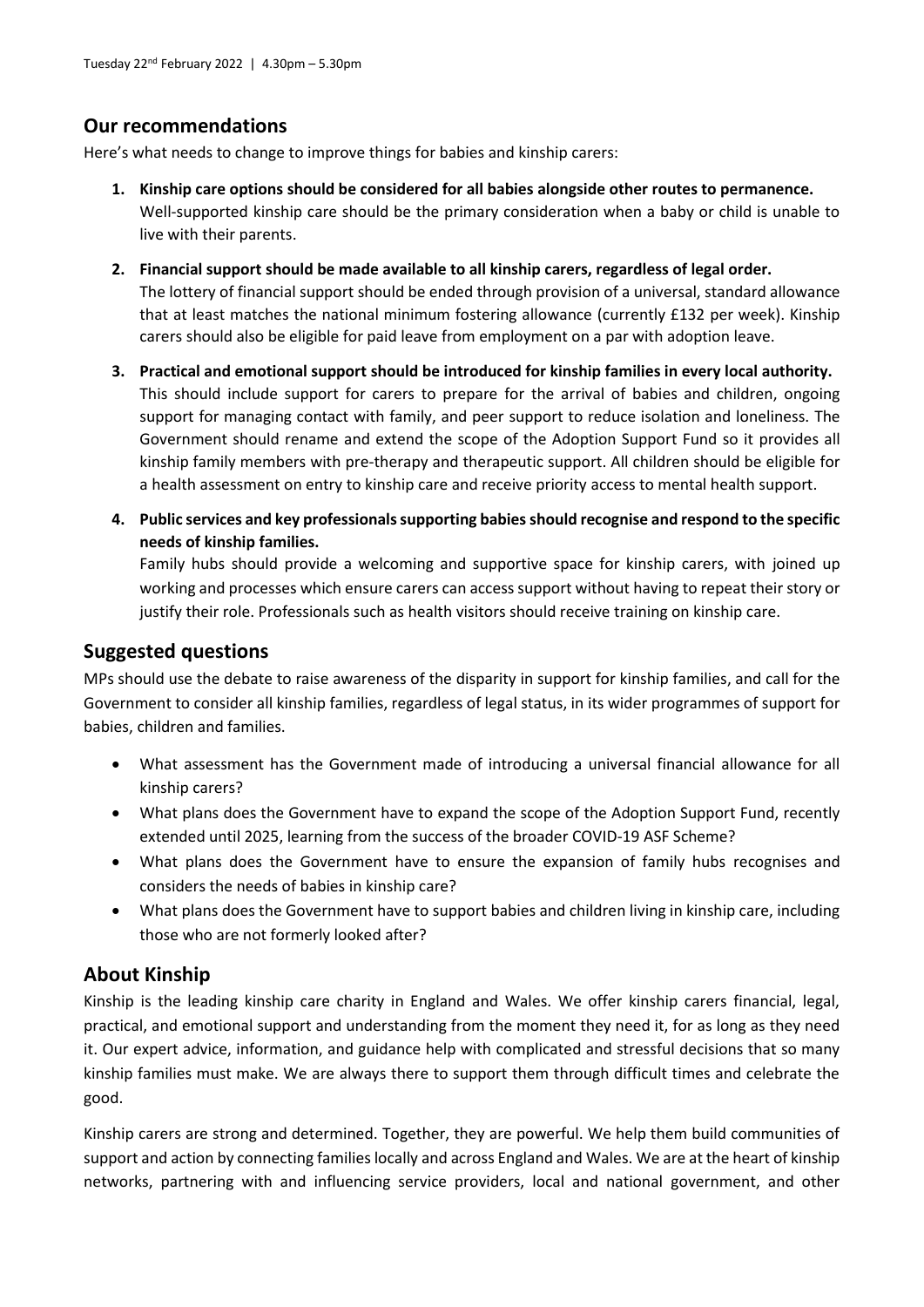## **Our recommendations**

Here's what needs to change to improve things for babies and kinship carers:

- **1. Kinship care options should be considered for all babies alongside other routes to permanence.** Well-supported kinship care should be the primary consideration when a baby or child is unable to live with their parents.
- **2. Financial support should be made available to all kinship carers, regardless of legal order.** The lottery of financial support should be ended through provision of a universal, standard allowance that at least matches the national minimum fostering allowance (currently £132 per week). Kinship carers should also be eligible for paid leave from employment on a par with adoption leave.
- **3. Practical and emotional support should be introduced for kinship families in every local authority.** This should include support for carers to prepare for the arrival of babies and children, ongoing support for managing contact with family, and peer support to reduce isolation and loneliness. The Government should rename and extend the scope of the Adoption Support Fund so it provides all kinship family members with pre-therapy and therapeutic support. All children should be eligible for a health assessment on entry to kinship care and receive priority access to mental health support.
- **4. Public services and key professionals supporting babies should recognise and respond to the specific needs of kinship families.**

Family hubs should provide a welcoming and supportive space for kinship carers, with joined up working and processes which ensure carers can access support without having to repeat their story or justify their role. Professionals such as health visitors should receive training on kinship care.

## **Suggested questions**

MPs should use the debate to raise awareness of the disparity in support for kinship families, and call for the Government to consider all kinship families, regardless of legal status, in its wider programmes of support for babies, children and families.

- What assessment has the Government made of introducing a universal financial allowance for all kinship carers?
- What plans does the Government have to expand the scope of the Adoption Support Fund, recently extended until 2025, learning from the success of the broader COVID-19 ASF Scheme?
- What plans does the Government have to ensure the expansion of family hubs recognises and considers the needs of babies in kinship care?
- What plans does the Government have to support babies and children living in kinship care, including those who are not formerly looked after?

# **About Kinship**

Kinship is the leading kinship care charity in England and Wales. We offer kinship carers financial, legal, practical, and emotional support and understanding from the moment they need it, for as long as they need it. Our expert advice, information, and guidance help with complicated and stressful decisions that so many kinship families must make. We are always there to support them through difficult times and celebrate the good.

Kinship carers are strong and determined. Together, they are powerful. We help them build communities of support and action by connecting families locally and across England and Wales. We are at the heart of kinship networks, partnering with and influencing service providers, local and national government, and other